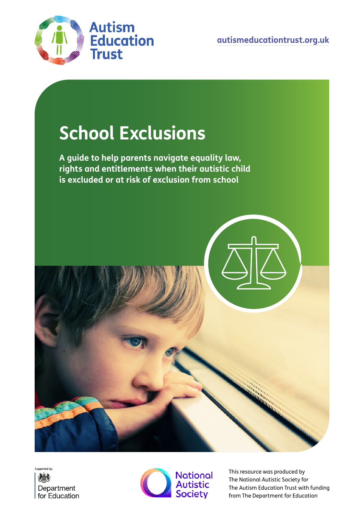

# **School Exclusions**

**A guide to help parents navigate equality law, rights and entitlements when their autistic child is excluded or at risk of exclusion from school**







This resource was produced by The National Autistic Society for The Autism Education Trust with funding from The Department for Education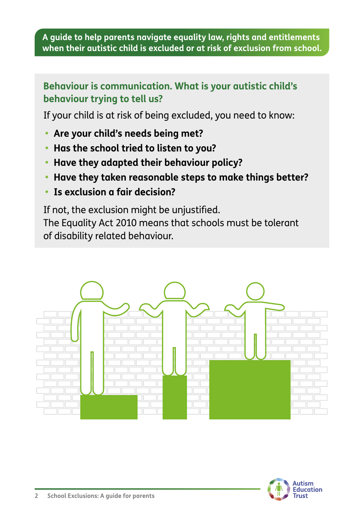# **Behaviour is communication. What is your autistic child's behaviour trying to tell us?**

If your child is at risk of being excluded, you need to know:

- **• Are your child's needs being met?**
- **• Has the school tried to listen to you?**
- **• Have they adapted their behaviour policy?**
- **• Have they taken reasonable steps to make things better?**
- **• Is exclusion a fair decision?**

If not, the exclusion might be unjustified. The Equality Act 2010 means that schools must be tolerant of disability related behaviour.



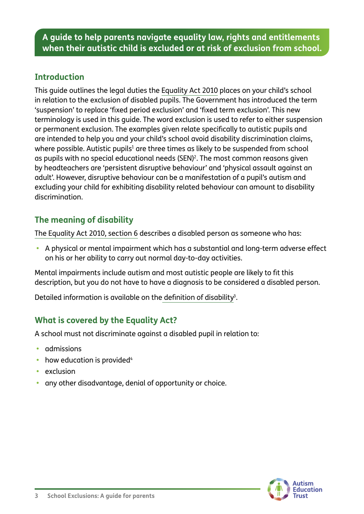## **Introduction**

This guide outlines the legal duties the [Equality Act 2010](https://www.legislation.gov.uk/ukpga/2010/15/contents) places on your child's school in relation to the exclusion of disabled pupils. The Government has introduced the term 'suspension' to replace 'fixed period exclusion' and 'fixed term exclusion'. This new terminology is used in this guide. The word exclusion is used to refer to either suspension or permanent exclusion. The examples given relate specifically to autistic pupils and are intended to help you and your child's school avoid disability discrimination claims, where possible. Autistic pupils $^{\rm 1}$  are three times as likely to be suspended from school as pupils with no special educational needs (SEN)<sup>2</sup>. The most common reasons given by headteachers are 'persistent disruptive behaviour' and 'physical assault against an adult'. However, disruptive behaviour can be a manifestation of a pupil's autism and excluding your child for exhibiting disability related behaviour can amount to disability discrimination.

# **The meaning of disability**

[The Equality Act 2010, section 6](https://www.legislation.gov.uk/ukpga/2010/15/section/6) describes a disabled person as someone who has:

**•** A physical or mental impairment which has a substantial and long-term adverse effect on his or her ability to carry out normal day-to-day activities.

Mental impairments include autism and most autistic people are likely to fit this description, but you do not have to have a diagnosis to be considered a disabled person.

Detailed information is available on the [definition of disability](https://www.gov.uk/government/publications/equality-act-guidance) $^3\!$ .

# **What is covered by the Equality Act?**

A school must not discriminate against a disabled pupil in relation to:

- **•** admissions
- how education is provided<sup>4</sup>
- **•** exclusion
- **•** any other disadvantage, denial of opportunity or choice.

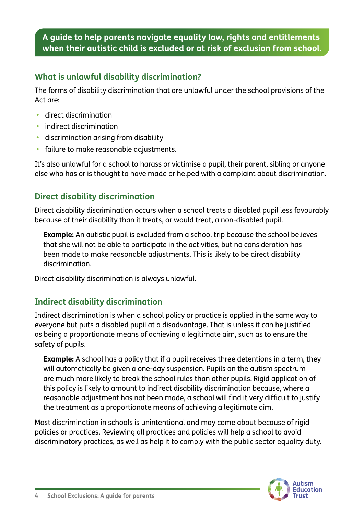#### **What is unlawful disability discrimination?**

The forms of disability discrimination that are unlawful under the school provisions of the Act are:

- **•** direct discrimination
- **•** indirect discrimination
- **•** discrimination arising from disability
- **•** failure to make reasonable adjustments.

It's also unlawful for a school to harass or victimise a pupil, their parent, sibling or anyone else who has or is thought to have made or helped with a complaint about discrimination.

# **Direct disability discrimination**

Direct disability discrimination occurs when a school treats a disabled pupil less favourably because of their disability than it treats, or would treat, a non-disabled pupil.

**Example:** An autistic pupil is excluded from a school trip because the school believes that she will not be able to participate in the activities, but no consideration has been made to make reasonable adjustments. This is likely to be direct disability discrimination.

Direct disability discrimination is always unlawful.

# **Indirect disability discrimination**

Indirect discrimination is when a school policy or practice is applied in the same way to everyone but puts a disabled pupil at a disadvantage. That is unless it can be justified as being a proportionate means of achieving a legitimate aim, such as to ensure the safety of pupils.

**Example:** A school has a policy that if a pupil receives three detentions in a term, they will automatically be given a one-day suspension. Pupils on the autism spectrum are much more likely to break the school rules than other pupils. Rigid application of this policy is likely to amount to indirect disability discrimination because, where a reasonable adjustment has not been made, a school will find it very difficult to justify the treatment as a proportionate means of achieving a legitimate aim.

Most discrimination in schools is unintentional and may come about because of rigid policies or practices. Reviewing all practices and policies will help a school to avoid discriminatory practices, as well as help it to comply with the public sector equality duty.

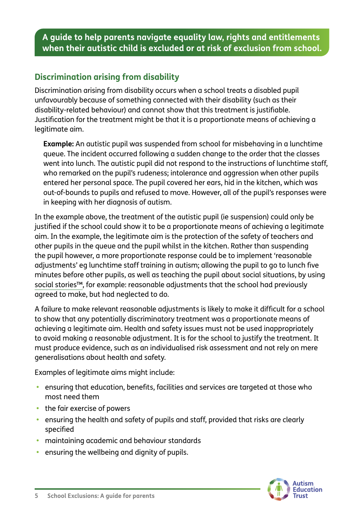# **Discrimination arising from disability**

Discrimination arising from disability occurs when a school treats a disabled pupil unfavourably because of something connected with their disability (such as their disability-related behaviour) and cannot show that this treatment is justifiable. Justification for the treatment might be that it is a proportionate means of achieving a legitimate aim.

**Example:** An autistic pupil was suspended from school for misbehaving in a lunchtime queue. The incident occurred following a sudden change to the order that the classes went into lunch. The autistic pupil did not respond to the instructions of lunchtime staff, who remarked on the pupil's rudeness; intolerance and aggression when other pupils entered her personal space. The pupil covered her ears, hid in the kitchen, which was out-of-bounds to pupils and refused to move. However, all of the pupil's responses were in keeping with her diagnosis of autism.

In the example above, the treatment of the autistic pupil (ie suspension) could only be justified if the school could show it to be a proportionate means of achieving a legitimate aim. In the example, the legitimate aim is the protection of the safety of teachers and other pupils in the queue and the pupil whilst in the kitchen. Rather than suspending the pupil however, a more proportionate response could be to implement 'reasonable adjustments' eg lunchtime staff training in autism; allowing the pupil to go to lunch five minutes before other pupils, as well as teaching the pupil about social situations, by using [social stories™](https://www.autism.org.uk/advice-and-guidance/topics/communication/communication-tools/social-stories-and-comic-strip-coversations), for example: reasonable adjustments that the school had previously agreed to make, but had neglected to do.

A failure to make relevant reasonable adjustments is likely to make it difficult for a school to show that any potentially discriminatory treatment was a proportionate means of achieving a legitimate aim. Health and safety issues must not be used inappropriately to avoid making a reasonable adjustment. It is for the school to justify the treatment. It must produce evidence, such as an individualised risk assessment and not rely on mere generalisations about health and safety.

Examples of legitimate aims might include:

- **•** ensuring that education, benefits, facilities and services are targeted at those who most need them
- **•** the fair exercise of powers
- **•** ensuring the health and safety of pupils and staff, provided that risks are clearly specified
- **•** maintaining academic and behaviour standards
- **•** ensuring the wellbeing and dignity of pupils.

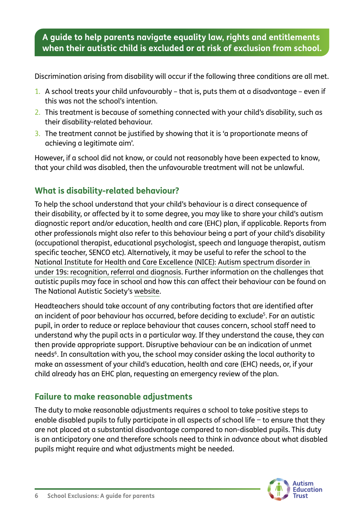Discrimination arising from disability will occur if the following three conditions are all met.

- 1. A school treats your child unfavourably that is, puts them at a disadvantage even if this was not the school's intention.
- 2. This treatment is because of something connected with your child's disability, such as their disability-related behaviour.
- 3. The treatment cannot be justified by showing that it is 'a proportionate means of achieving a legitimate aim'.

However, if a school did not know, or could not reasonably have been expected to know, that your child was disabled, then the unfavourable treatment will not be unlawful.

# **What is disability-related behaviour?**

To help the school understand that your child's behaviour is a direct consequence of their disability, or affected by it to some degree, you may like to share your child's autism diagnostic report and/or education, health and care (EHC) plan, if applicable. Reports from other professionals might also refer to this behaviour being a part of your child's disability (occupational therapist, educational psychologist, speech and language therapist, autism specific teacher, SENCO etc). Alternatively, it may be useful to refer the school to the [National Institute for Health and Care Excellence \(NICE\): Autism spectrum disorder in](https://www.nice.org.uk/guidance/cg128/resources)  [under 19s: recognition, referral and diagnosis.](https://www.nice.org.uk/guidance/cg128/resources) Further information on the challenges that autistic pupils may face in school and how this can affect their behaviour can be found on The National Autistic Society's [website.](https://www.autism.org.uk/what-we-do/education-professionals)

Headteachers should take account of any contributing factors that are identified after an incident of poor behaviour has occurred, before deciding to exclude<sup>5</sup>. For an autistic pupil, in order to reduce or replace behaviour that causes concern, school staff need to understand why the pupil acts in a particular way. If they understand the cause, they can then provide appropriate support. Disruptive behaviour can be an indication of unmet needs<sup>6</sup>. In consultation with you, the school may consider asking the local authority to make an assessment of your child's education, health and care (EHC) needs, or, if your child already has an EHC plan, requesting an emergency review of the plan.

# **Failure to make reasonable adjustments**

The duty to make reasonable adjustments requires a school to take positive steps to enable disabled pupils to fully participate in all aspects of school life − to ensure that they are not placed at a substantial disadvantage compared to non-disabled pupils. This duty is an anticipatory one and therefore schools need to think in advance about what disabled pupils might require and what adjustments might be needed.

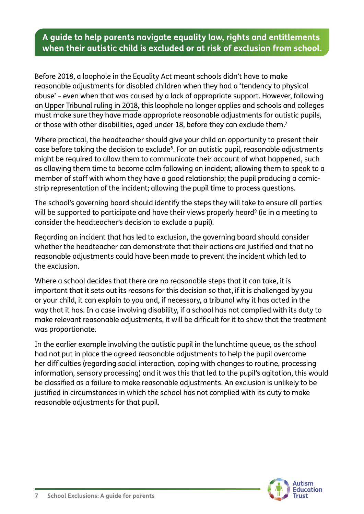Before 2018, a loophole in the Equality Act meant schools didn't have to make reasonable adjustments for disabled children when they had a 'tendency to physical abuse' – even when that was caused by a lack of appropriate support. However, following an [Upper Tribunal ruling in 2018,](https://www.gov.uk/administrative-appeals-tribunal-decisions/2018-ukut-269-aac-c-c-v-the-governing-body-of-a-school-the-secretary-of-state-for-education-first-interested-party-and-the-national-autistic-society-second-interested-party-sen) this loophole no longer applies and schools and colleges must make sure they have made appropriate reasonable adjustments for autistic pupils, or those with other disabilities, aged under 18, before they can exclude them. $^7$ 

Where practical, the headteacher should give your child an opportunity to present their case before taking the decision to exclude<sup>8</sup>. For an autistic pupil, reasonable adjustments might be required to allow them to communicate their account of what happened, such as allowing them time to become calm following an incident; allowing them to speak to a member of staff with whom they have a good relationship; the pupil producing a comicstrip representation of the incident; allowing the pupil time to process questions.

The school's governing board should identify the steps they will take to ensure all parties will be supported to participate and have their views properly heard<sup>9</sup> (ie in a meeting to consider the headteacher's decision to exclude a pupil).

Regarding an incident that has led to exclusion, the governing board should consider whether the headteacher can demonstrate that their actions are justified and that no reasonable adjustments could have been made to prevent the incident which led to the exclusion.

Where a school decides that there are no reasonable steps that it can take, it is important that it sets out its reasons for this decision so that, if it is challenged by you or your child, it can explain to you and, if necessary, a tribunal why it has acted in the way that it has. In a case involving disability, if a school has not complied with its duty to make relevant reasonable adjustments, it will be difficult for it to show that the treatment was proportionate.

In the earlier example involving the autistic pupil in the lunchtime queue, as the school had not put in place the agreed reasonable adjustments to help the pupil overcome her difficulties (regarding social interaction, coping with changes to routine, processing information, sensory processing) and it was this that led to the pupil's agitation, this would be classified as a failure to make reasonable adjustments. An exclusion is unlikely to be justified in circumstances in which the school has not complied with its duty to make reasonable adjustments for that pupil.

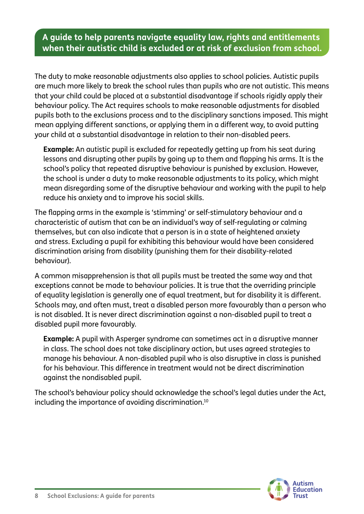The duty to make reasonable adjustments also applies to school policies. Autistic pupils are much more likely to break the school rules than pupils who are not autistic. This means that your child could be placed at a substantial disadvantage if schools rigidly apply their behaviour policy. The Act requires schools to make reasonable adjustments for disabled pupils both to the exclusions process and to the disciplinary sanctions imposed. This might mean applying different sanctions, or applying them in a different way, to avoid putting your child at a substantial disadvantage in relation to their non-disabled peers.

**Example:** An autistic pupil is excluded for repeatedly getting up from his seat during lessons and disrupting other pupils by going up to them and flapping his arms. It is the school's policy that repeated disruptive behaviour is punished by exclusion. However, the school is under a duty to make reasonable adjustments to its policy, which might mean disregarding some of the disruptive behaviour and working with the pupil to help reduce his anxiety and to improve his social skills.

The flapping arms in the example is 'stimming' or self-stimulatory behaviour and a characteristic of autism that can be an individual's way of self-regulating or calming themselves, but can also indicate that a person is in a state of heightened anxiety and stress. Excluding a pupil for exhibiting this behaviour would have been considered discrimination arising from disability (punishing them for their disability-related behaviour).

A common misapprehension is that all pupils must be treated the same way and that exceptions cannot be made to behaviour policies. It is true that the overriding principle of equality legislation is generally one of equal treatment, but for disability it is different. Schools may, and often must, treat a disabled person more favourably than a person who is not disabled. It is never direct discrimination against a non-disabled pupil to treat a disabled pupil more favourably.

**Example:** A pupil with Asperger syndrome can sometimes act in a disruptive manner in class. The school does not take disciplinary action, but uses agreed strategies to manage his behaviour. A non-disabled pupil who is also disruptive in class is punished for his behaviour. This difference in treatment would not be direct discrimination against the nondisabled pupil.

The school's behaviour policy should acknowledge the school's legal duties under the Act, including the importance of avoiding discrimination.10

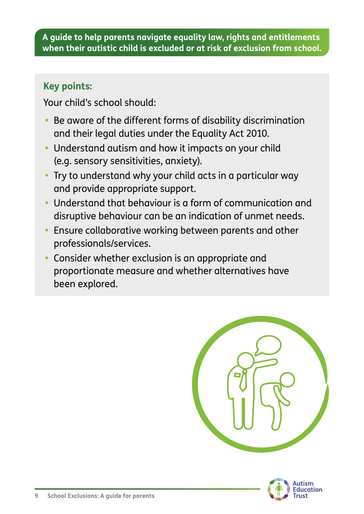# **Key points:**

Your child's school should:

- **•** Be aware of the different forms of disability discrimination and their legal duties under the Equality Act 2010.
- **•** Understand autism and how it impacts on your child (e.g. sensory sensitivities, anxiety).
- **•** Try to understand why your child acts in a particular way and provide appropriate support.
- **•** Understand that behaviour is a form of communication and disruptive behaviour can be an indication of unmet needs.
- **•** Ensure collaborative working between parents and other professionals/services.
- **•** Consider whether exclusion is an appropriate and proportionate measure and whether alternatives have been explored.



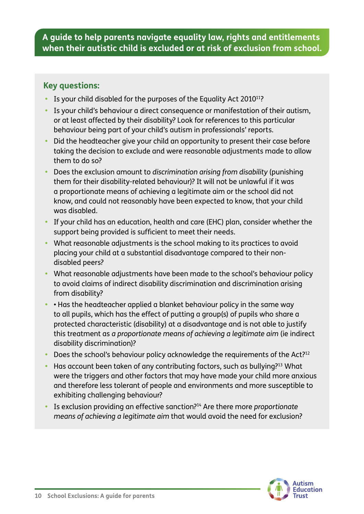#### **Key questions:**

- Is your child disabled for the purposes of the Equality Act 2010<sup>11</sup>?
- **•** Is your child's behaviour a direct consequence or manifestation of their autism, or at least affected by their disability? Look for references to this particular behaviour being part of your child's autism in professionals' reports.
- **•** Did the headteacher give your child an opportunity to present their case before taking the decision to exclude and were reasonable adjustments made to allow them to do so?
- **•** Does the exclusion amount to *discrimination arising from disability* (punishing them for their disability-related behaviour)? It will not be unlawful if it was a proportionate means of achieving a legitimate aim or the school did not know, and could not reasonably have been expected to know, that your child was disabled.
- **•** If your child has an education, health and care (EHC) plan, consider whether the support being provided is sufficient to meet their needs.
- **•** What reasonable adjustments is the school making to its practices to avoid placing your child at a substantial disadvantage compared to their nondisabled peers?
- **•** What reasonable adjustments have been made to the school's behaviour policy to avoid claims of indirect disability discrimination and discrimination arising from disability?
- **•** Has the headteacher applied a blanket behaviour policy in the same way to all pupils, which has the effect of putting a group(s) of pupils who share a protected characteristic (disability) at a disadvantage and is not able to justify this treatment as *a proportionate means of achieving a legitimate aim* (ie indirect disability discrimination)?
- **•** Does the school's behaviour policy acknowledge the requirements of the Act?12
- **•** Has account been taken of any contributing factors, such as bullying?13 What were the triggers and other factors that may have made your child more anxious and therefore less tolerant of people and environments and more susceptible to exhibiting challenging behaviour?
- **•** Is exclusion providing an effective sanction?14 Are there more *proportionate means of achieving a legitimate aim* that would avoid the need for exclusion?

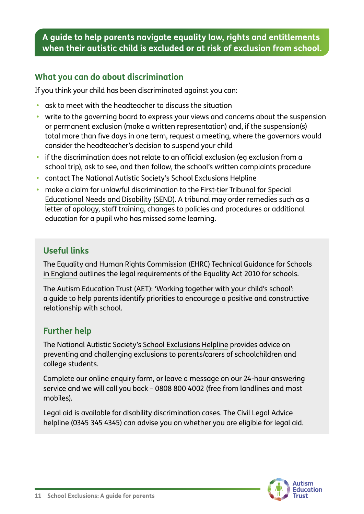## **What you can do about discrimination**

If you think your child has been discriminated against you can:

- **•** ask to meet with the headteacher to discuss the situation
- **•** write to the governing board to express your views and concerns about the suspension or permanent exclusion (make a written representation) and, if the suspension(s) total more than five days in one term, request a meeting, where the governors would consider the headteacher's decision to suspend your child
- **•** if the discrimination does not relate to an official exclusion (eg exclusion from a school trip), ask to see, and then follow, the school's written complaints procedure
- **•** contact [The National Autistic Society's School Exclusions Helpline](https://www.autism.org.uk/what-we-do/help-and-support/school-exclusion-service)
- **•** make a claim for unlawful discrimination to the [First-tier Tribunal for Special](https://www.gov.uk/government/publications/form-send4a-disability-discrimination-claim-by-a-parent)  [Educational Needs and Disability \(SEND\).](https://www.gov.uk/government/publications/form-send4a-disability-discrimination-claim-by-a-parent) A tribunal may order remedies such as a letter of apology, staff training, changes to policies and procedures or additional education for a pupil who has missed some learning.

# **Useful links**

The [Equality and Human Rights Commission \(EHRC\) Technical Guidance for Schools](https://www.equalityhumanrights.com/en/publication-download/technical-guidance-schools-england)  [in England](https://www.equalityhumanrights.com/en/publication-download/technical-guidance-schools-england) outlines the legal requirements of the Equality Act 2010 for schools.

The Autism Education Trust (AET): ['Working together with your child's school':](https://www.autismeducationtrust.org.uk/shop/parents-guide/) a guide to help parents identify priorities to encourage a positive and constructive relationship with school.

#### **Further help**

The National Autistic Society's [School Exclusions Helpline](https://www.autism.org.uk/what-we-do/help-and-support/school-exclusion-service) provides advice on preventing and challenging exclusions to parents/carers of schoolchildren and college students.

[Complete our online enquiry form,](http://) or leave a message on our 24-hour answering service and we will call you back – 0808 800 4002 (free from landlines and most mobiles).

Legal aid is available for disability discrimination cases. The Civil Legal Advice helpline (0345 345 4345) can advise you on whether you are eligible for legal aid.

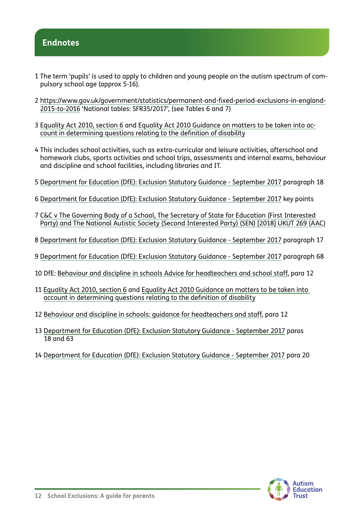## **Endnotes**

- 1 The term 'pupils' is used to apply to children and young people on the autism spectrum of compulsory school age (approx 5-16).
- 2 [https://www.gov.uk/government/statistics/permanent-and-fixed-period-exclusions-in-england-](mailto:https://www.gov.uk/government/statistics/permanent-and-fixed-period-exclusions-in-england-2015-to-2016?subject=)[2015-to-2016](mailto:https://www.gov.uk/government/statistics/permanent-and-fixed-period-exclusions-in-england-2015-to-2016?subject=) 'National tables: SFR35/2017', (see Tables 6 and 7)
- 3 [Equality Act 2010, section 6](https://www.legislation.gov.uk/ukpga/2010/15/section/6) and [Equality Act 2010 Guidance on matters to be taken into ac](mailto:https://www.equalityhumanrights.com/en/publication-download/equality-act-2010-guidance-matters-be-taken-account-determining-questions?subject=)[count in determining questions relating to the definition of disability](mailto:https://www.equalityhumanrights.com/en/publication-download/equality-act-2010-guidance-matters-be-taken-account-determining-questions?subject=)
- 4 This includes school activities, such as extra-curricular and leisure activities, afterschool and homework clubs, sports activities and school trips, assessments and internal exams, behaviour and discipline and school facilities, including libraries and IT.
- 5 [Department for Education \(DfE\): Exclusion Statutory Guidance September 2017](https://www.gov.uk/government/publications/school-exclusion) paragraph 18
- 6 [Department for Education \(DfE\): Exclusion Statutory Guidance September 2017](https://www.gov.uk/government/publications/school-exclusion) key points
- 7 [C&C v The Governing Body of a School, The Secretary of State for Education \(First Interested](https://www.gov.uk/administrative-appeals-tribunal-decisions/2018-ukut-269-aac-c-c-v-the-governing-body-of-a-school-the-secretary-of-state-for-education-first-interested-party-and-the-national-autistic-society-second-interested-party-sen)  [Party\) and The National Autistic Society \(Second Interested Party\) \(SEN\) \[2018\] UKUT 269 \(AAC\)](https://www.gov.uk/administrative-appeals-tribunal-decisions/2018-ukut-269-aac-c-c-v-the-governing-body-of-a-school-the-secretary-of-state-for-education-first-interested-party-and-the-national-autistic-society-second-interested-party-sen)
- 8 [Department for Education \(DfE\): Exclusion Statutory Guidance September 2017](https://www.gov.uk/government/publications/school-exclusion) paragraph 17
- 9 [Department for Education \(DfE\): Exclusion Statutory Guidance September 2017](https://www.gov.uk/government/publications/school-exclusion) paragraph 68
- 10 DfE: [Behaviour and discipline in schools Advice for headteachers and school staff](https://www.gov.uk/government/publications/behaviour-and-discipline-in-schools), para 12
- 11 [Equality Act 2010, section 6](https://www.legislation.gov.uk/ukpga/2010/15/section/6) and [Equality Act 2010 Guidance on matters to be taken into](https://www.gov.uk/government/publications/equality-act-guidance)  [account in determining questions relating to the definition of disability](https://www.gov.uk/government/publications/equality-act-guidance)
- 12 [Behaviour and discipline in schools: guidance for headteachers and staff](https://www.gov.uk/government/publications/behaviour-and-discipline-in-schools), para 12
- 13 [Department for Education \(DfE\): Exclusion Statutory Guidance September 2017](https://www.gov.uk/government/publications/school-exclusion) paras 18 and 63
- 14 [Department for Education \(DfE\): Exclusion Statutory Guidance September 2017](https://www.gov.uk/government/publications/school-exclusion) para 20